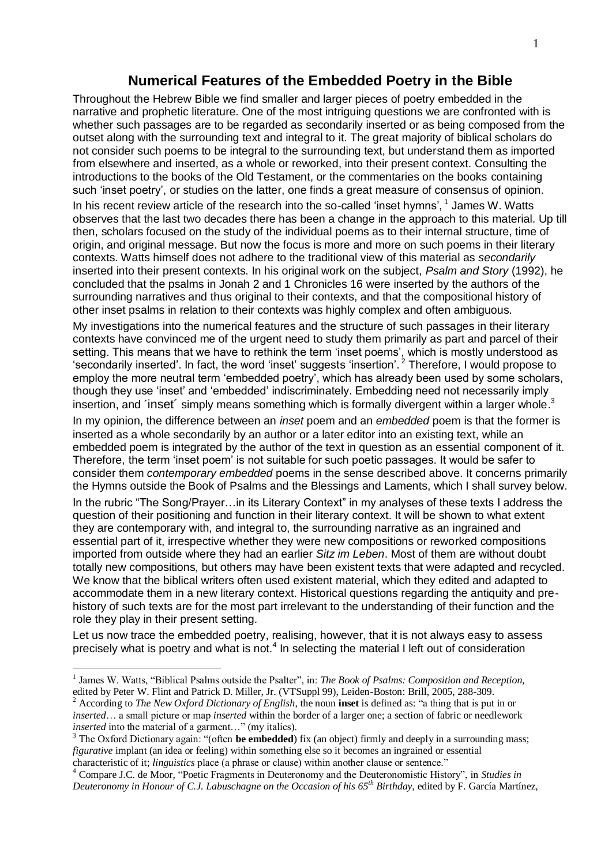#### **Numerical Features of the Embedded Poetry in the Bible**

Throughout the Hebrew Bible we find smaller and larger pieces of poetry embedded in the narrative and prophetic literature. One of the most intriguing questions we are confronted with is whether such passages are to be regarded as secondarily inserted or as being composed from the outset along with the surrounding text and integral to it. The great majority of biblical scholars do not consider such poems to be integral to the surrounding text, but understand them as imported from elsewhere and inserted, as a whole or reworked, into their present context. Consulting the introductions to the books of the Old Testament, or the commentaries on the books containing such 'inset poetry', or studies on the latter, one finds a great measure of consensus of opinion. In his recent review article of the research into the so-called 'inset hymns',  $1$  James W. Watts observes that the last two decades there has been a change in the approach to this material. Up till then, scholars focused on the study of the individual poems as to their internal structure, time of origin, and original message. But now the focus is more and more on such poems in their literary contexts. Watts himself does not adhere to the traditional view of this material as *secondarily* inserted into their present contexts. In his original work on the subject, *Psalm and Story* (1992), he concluded that the psalms in Jonah 2 and 1 Chronicles 16 were inserted by the authors of the surrounding narratives and thus original to their contexts, and that the compositional history of other inset psalms in relation to their contexts was highly complex and often ambiguous. My investigations into the numerical features and the structure of such passages in their literary contexts have convinced me of the urgent need to study them primarily as part and parcel of their setting. This means that we have to rethink the term 'inset poems', which is mostly understood as 'secondarily inserted'. In fact, the word 'inset' suggests 'insertion'. <sup>2</sup> Therefore, I would propose to employ the more neutral term 'embedded poetry', which has already been used by some scholars, though they use 'inset' and 'embedded' indiscriminately. Embedding need not necessarily imply

insertion, and 'inset' simply means something which is formally divergent within a larger whole.<sup>3</sup>

In my opinion, the difference between an *inset* poem and an *embedded* poem is that the former is inserted as a whole secondarily by an author or a later editor into an existing text, while an embedded poem is integrated by the author of the text in question as an essential component of it. Therefore, the term 'inset poem' is not suitable for such poetic passages. It would be safer to consider them *contemporary embedded* poems in the sense described above. It concerns primarily the Hymns outside the Book of Psalms and the Blessings and Laments, which I shall survey below.

In the rubric "The Song/Prayer…in its Literary Context" in my analyses of these texts I address the question of their positioning and function in their literary context. It will be shown to what extent they are contemporary with, and integral to, the surrounding narrative as an ingrained and essential part of it, irrespective whether they were new compositions or reworked compositions imported from outside where they had an earlier *Sitz im Leben*. Most of them are without doubt totally new compositions, but others may have been existent texts that were adapted and recycled. We know that the biblical writers often used existent material, which they edited and adapted to accommodate them in a new literary context. Historical questions regarding the antiquity and prehistory of such texts are for the most part irrelevant to the understanding of their function and the role they play in their present setting.

Let us now trace the embedded poetry, realising, however, that it is not always easy to assess precisely what is poetry and what is not.<sup>4</sup> In selecting the material I left out of consideration

1

<sup>&</sup>lt;sup>1</sup> James W. Watts, "Biblical Psalms outside the Psalter", in: *The Book of Psalms: Composition and Reception*, edited by Peter W. Flint and Patrick D. Miller, Jr. (VTSuppl 99), Leiden-Boston: Brill, 2005, 288-309.

<sup>2</sup> According to *The New Oxford Dictionary of English*, the noun **inset** is defined as: "a thing that is put in or *inserted*… a small picture or map *inserted* within the border of a larger one; a section of fabric or needlework *inserted* into the material of a garment..." (my italics).

<sup>&</sup>lt;sup>3</sup> The Oxford Dictionary again: "(often **be embedded**) fix (an object) firmly and deeply in a surrounding mass; *figurative* implant (an idea or feeling) within something else so it becomes an ingrained or essential characteristic of it; *linguistics* place (a phrase or clause) within another clause or sentence."

<sup>4</sup> Compare J.C. de Moor, "Poetic Fragments in Deuteronomy and the Deuteronomistic History", in *Studies in Deuteronomy in Honour of C.J. Labuschagne on the Occasion of his 65th Birthday,* edited by F. García Martínez,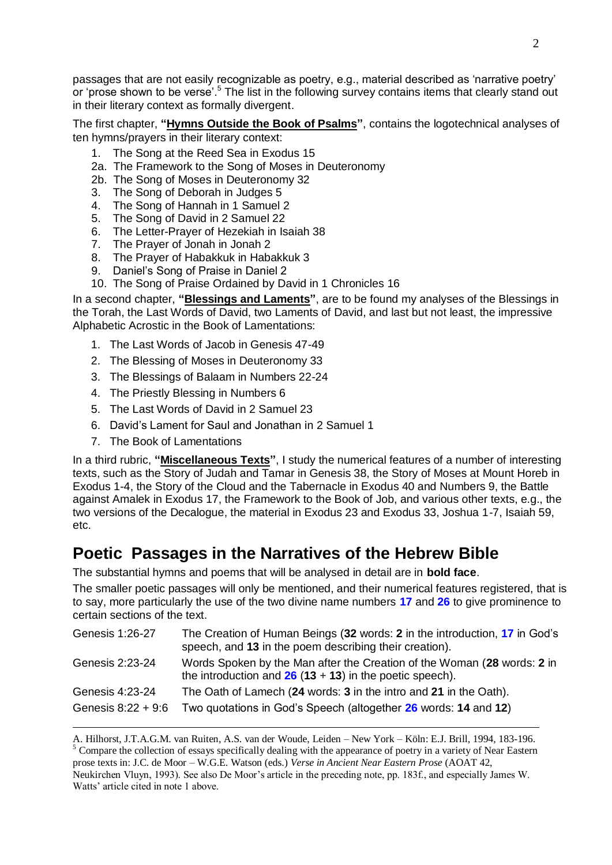passages that are not easily recognizable as poetry, e.g., material described as 'narrative poetry' or 'prose shown to be verse'.<sup>5</sup> The list in the following survey contains items that clearly stand out in their literary context as formally divergent.

The first chapter, **"Hymns Outside the Book of Psalms"**, contains the logotechnical analyses of ten hymns/prayers in their literary context:

- 1. The Song at the Reed Sea in Exodus 15
- 2a. The Framework to the Song of Moses in Deuteronomy
- 2b. The Song of Moses in Deuteronomy 32
- 3. The Song of Deborah in Judges 5
- 4. The Song of Hannah in 1 Samuel 2
- 5. The Song of David in 2 Samuel 22
- 6. The Letter-Prayer of Hezekiah in Isaiah 38
- 7. The Prayer of Jonah in Jonah 2
- 8. The Prayer of Habakkuk in Habakkuk 3
- 9. Daniel's Song of Praise in Daniel 2
- 10. The Song of Praise Ordained by David in 1 Chronicles 16

In a second chapter, **"Blessings and Laments"**, are to be found my analyses of the Blessings in the Torah, the Last Words of David, two Laments of David, and last but not least, the impressive Alphabetic Acrostic in the Book of Lamentations:

- 1. The Last Words of Jacob in Genesis 47-49
- 2. The Blessing of Moses in Deuteronomy 33
- 3. The Blessings of Balaam in Numbers 22-24
- 4. The Priestly Blessing in Numbers 6
- 5. The Last Words of David in 2 Samuel 23
- 6. David's Lament for Saul and Jonathan in 2 Samuel 1
- 7. The Book of Lamentations

1

In a third rubric, **"Miscellaneous Texts"**, I study the numerical features of a number of interesting texts, such as the Story of Judah and Tamar in Genesis 38, the Story of Moses at Mount Horeb in Exodus 1-4, the Story of the Cloud and the Tabernacle in Exodus 40 and Numbers 9, the Battle against Amalek in Exodus 17, the Framework to the Book of Job, and various other texts, e.g., the two versions of the Decalogue, the material in Exodus 23 and Exodus 33, Joshua 1-7, Isaiah 59, etc.

## **Poetic Passages in the Narratives of the Hebrew Bible**

The substantial hymns and poems that will be analysed in detail are in **bold face**.

The smaller poetic passages will only be mentioned, and their numerical features registered, that is to say, more particularly the use of the two divine name numbers **17** and **26** to give prominence to certain sections of the text.

| Genesis 1:26-27    | The Creation of Human Beings (32 words: 2 in the introduction, 17 in God's<br>speech, and 13 in the poem describing their creation). |
|--------------------|--------------------------------------------------------------------------------------------------------------------------------------|
| Genesis 2:23-24    | Words Spoken by the Man after the Creation of the Woman (28 words: 2 in<br>the introduction and $26(13 + 13)$ in the poetic speech). |
| Genesis 4:23-24    | The Oath of Lamech (24 words: 3 in the intro and 21 in the Oath).                                                                    |
| Genesis 8:22 + 9:6 | Two quotations in God's Speech (altogether 26 words: 14 and 12)                                                                      |
|                    |                                                                                                                                      |

A. Hilhorst, J.T.A.G.M. van Ruiten, A.S. van der Woude, Leiden – New York – Köln: E.J. Brill, 1994, 183-196. <sup>5</sup> Compare the collection of essays specifically dealing with the appearance of poetry in a variety of Near Eastern prose texts in: J.C. de Moor – W.G.E. Watson (eds.) *Verse in Ancient Near Eastern Prose* (AOAT 42,

Neukirchen Vluyn, 1993). See also De Moor's article in the preceding note, pp. 183f., and especially James W. Watts' article cited in note 1 above.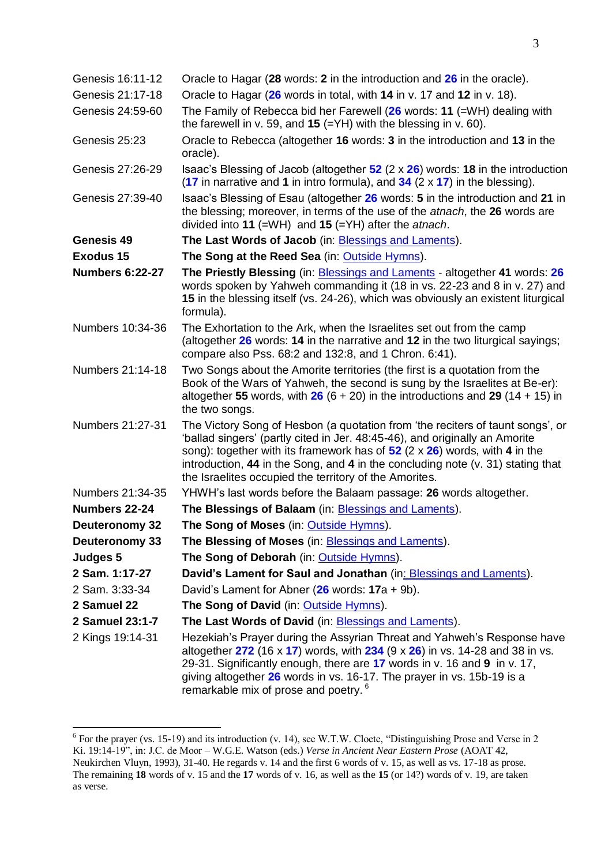| Genesis 16:11-12       | Oracle to Hagar (28 words: 2 in the introduction and 26 in the oracle).                                                                                                                                                                                                                                                                                                                           |  |  |
|------------------------|---------------------------------------------------------------------------------------------------------------------------------------------------------------------------------------------------------------------------------------------------------------------------------------------------------------------------------------------------------------------------------------------------|--|--|
| Genesis 21:17-18       | Oracle to Hagar (26 words in total, with 14 in v. 17 and 12 in v. 18).                                                                                                                                                                                                                                                                                                                            |  |  |
| Genesis 24:59-60       | The Family of Rebecca bid her Farewell $(26 \text{ words}: 11 (=WH)$ dealing with<br>the farewell in v. 59, and 15 (= $YH$ ) with the blessing in v. 60).                                                                                                                                                                                                                                         |  |  |
| Genesis 25:23          | Oracle to Rebecca (altogether 16 words: 3 in the introduction and 13 in the<br>oracle).                                                                                                                                                                                                                                                                                                           |  |  |
| Genesis 27:26-29       | Isaac's Blessing of Jacob (altogether $52$ (2 x $26$ ) words: 18 in the introduction<br>(17 in narrative and 1 in intro formula), and $34$ (2 x 17) in the blessing).                                                                                                                                                                                                                             |  |  |
| Genesis 27:39-40       | Isaac's Blessing of Esau (altogether 26 words: 5 in the introduction and 21 in<br>the blessing; moreover, in terms of the use of the <i>atnach</i> , the 26 words are<br>divided into 11 (=WH) and 15 (=YH) after the <i>atnach</i> .                                                                                                                                                             |  |  |
| Genesis 49             | The Last Words of Jacob (in: Blessings and Laments).                                                                                                                                                                                                                                                                                                                                              |  |  |
| <b>Exodus 15</b>       | The Song at the Reed Sea (in: Outside Hymns).                                                                                                                                                                                                                                                                                                                                                     |  |  |
| <b>Numbers 6:22-27</b> | The Priestly Blessing (in: <b>Blessings and Laments</b> - altogether 41 words: 26<br>words spoken by Yahweh commanding it (18 in vs. 22-23 and 8 in v. 27) and<br>15 in the blessing itself (vs. 24-26), which was obviously an existent liturgical<br>formula).                                                                                                                                  |  |  |
| Numbers 10:34-36       | The Exhortation to the Ark, when the Israelites set out from the camp<br>(altogether 26 words: 14 in the narrative and 12 in the two liturgical sayings;<br>compare also Pss. 68:2 and 132:8, and 1 Chron. 6:41).                                                                                                                                                                                 |  |  |
| Numbers 21:14-18       | Two Songs about the Amorite territories (the first is a quotation from the<br>Book of the Wars of Yahweh, the second is sung by the Israelites at Be-er):<br>altogether 55 words, with $26 (6 + 20)$ in the introductions and 29 (14 + 15) in<br>the two songs.                                                                                                                                   |  |  |
| Numbers 21:27-31       | The Victory Song of Hesbon (a quotation from 'the reciters of taunt songs', or<br>'ballad singers' (partly cited in Jer. 48:45-46), and originally an Amorite<br>song): together with its framework has of $52$ (2 x $26$ ) words, with 4 in the<br>introduction, $44$ in the Song, and $4$ in the concluding note (v. 31) stating that<br>the Israelites occupied the territory of the Amorites. |  |  |
| Numbers 21:34-35       | YHWH's last words before the Balaam passage: 26 words altogether.                                                                                                                                                                                                                                                                                                                                 |  |  |
| Numbers 22-24          | The Blessings of Balaam (in: Blessings and Laments).                                                                                                                                                                                                                                                                                                                                              |  |  |
| <b>Deuteronomy 32</b>  | The Song of Moses (in: Outside Hymns).                                                                                                                                                                                                                                                                                                                                                            |  |  |
| Deuteronomy 33         | The Blessing of Moses (in: Blessings and Laments).                                                                                                                                                                                                                                                                                                                                                |  |  |
| Judges 5               | The Song of Deborah (in: Outside Hymns).                                                                                                                                                                                                                                                                                                                                                          |  |  |
| 2 Sam. 1:17-27         | David's Lament for Saul and Jonathan (in: Blessings and Laments).                                                                                                                                                                                                                                                                                                                                 |  |  |
| 2 Sam. 3:33-34         | David's Lament for Abner $(26$ words: $17a + 9b)$ .                                                                                                                                                                                                                                                                                                                                               |  |  |
| 2 Samuel 22            | The Song of David (in: Outside Hymns).                                                                                                                                                                                                                                                                                                                                                            |  |  |
| 2 Samuel 23:1-7        | The Last Words of David (in: Blessings and Laments).                                                                                                                                                                                                                                                                                                                                              |  |  |
| 2 Kings 19:14-31       | Hezekiah's Prayer during the Assyrian Threat and Yahweh's Response have<br>altogether $272$ (16 x 17) words, with $234$ (9 x $26$ ) in vs. 14-28 and 38 in vs.<br>29-31. Significantly enough, there are 17 words in v. 16 and 9 in v. 17,<br>giving altogether 26 words in vs. 16-17. The prayer in vs. 15b-19 is a<br>remarkable mix of prose and poetry. <sup>6</sup>                          |  |  |

For the prayer (vs. 15-19) and its introduction (v. 14), see W.T.W. Cloete, "Distinguishing Prose and Verse in 2 Ki. 19:14-19", in: J.C. de Moor – W.G.E. Watson (eds.) *Verse in Ancient Near Eastern Prose* (AOAT 42, Neukirchen Vluyn, 1993), 31-40. He regards v. 14 and the first 6 words of v. 15, as well as vs. 17-18 as prose. The remaining **18** words of v. 15 and the **17** words of v. 16, as well as the **15** (or 14?) words of v. 19, are taken as verse.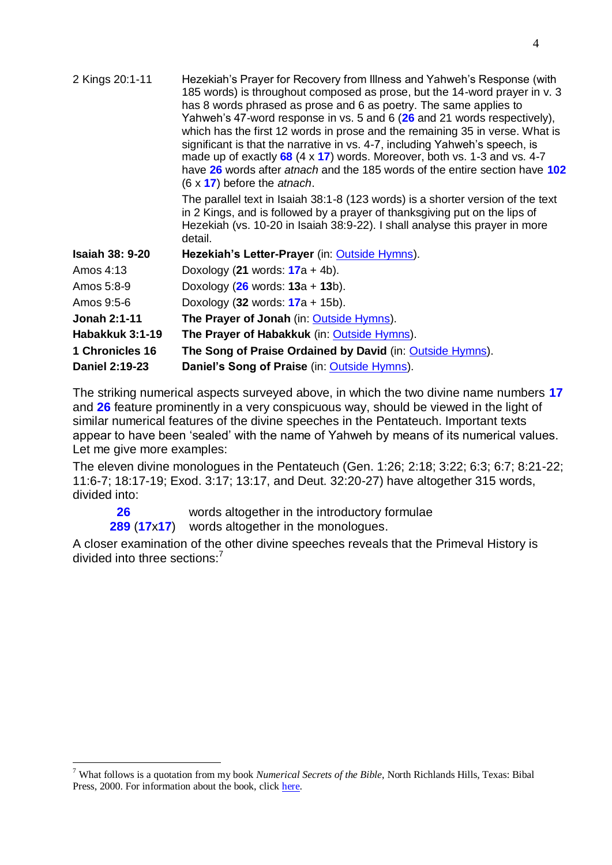| Hezekiah's Prayer for Recovery from Illness and Yahweh's Response (with<br>185 words) is throughout composed as prose, but the 14-word prayer in v. 3<br>has 8 words phrased as prose and 6 as poetry. The same applies to<br>Yahweh's 47-word response in vs. 5 and 6 (26 and 21 words respectively),<br>which has the first 12 words in prose and the remaining 35 in verse. What is<br>significant is that the narrative in vs. 4-7, including Yahweh's speech, is<br>made up of exactly $68$ (4 x 17) words. Moreover, both vs. 1-3 and vs. 4-7<br>have 26 words after atnach and the 185 words of the entire section have 102<br>$(6 \times 17)$ before the atnach. |
|--------------------------------------------------------------------------------------------------------------------------------------------------------------------------------------------------------------------------------------------------------------------------------------------------------------------------------------------------------------------------------------------------------------------------------------------------------------------------------------------------------------------------------------------------------------------------------------------------------------------------------------------------------------------------|
| The parallel text in Isaiah 38:1-8 (123 words) is a shorter version of the text<br>in 2 Kings, and is followed by a prayer of thanksgiving put on the lips of<br>Hezekiah (vs. 10-20 in Isaiah 38:9-22). I shall analyse this prayer in more<br>detail.                                                                                                                                                                                                                                                                                                                                                                                                                  |
| $H\alpha$ zokiab'e Lottor Dravor (in: Qutoido Hymne)                                                                                                                                                                                                                                                                                                                                                                                                                                                                                                                                                                                                                     |

| <b>Isaiah 38: 9-20</b> | Hezekiah's Letter-Prayer (in: Outside Hymns).             |
|------------------------|-----------------------------------------------------------|
| Amos 4:13              | Doxology (21 words: $17a + 4b$ ).                         |
| Amos 5:8-9             | Doxology $(26 \text{ words}: 13a + 13b)$ .                |
| Amos 9:5-6             | Doxology (32 words: $17a + 15b$ ).                        |
| Jonah 2:1-11           | The Prayer of Jonah (in: Outside Hymns).                  |
| Habakkuk 3:1-19        | The Prayer of Habakkuk (in: Outside Hymns).               |
| 1 Chronicles 16        | The Song of Praise Ordained by David (in: Outside Hymns). |
| Daniel 2:19-23         | Daniel's Song of Praise (in: Outside Hymns).              |

2 Kings 20:1-11

<u>.</u>

The striking numerical aspects surveyed above, in which the two divine name numbers **17** and **26** feature prominently in a very conspicuous way, should be viewed in the light of similar numerical features of the divine speeches in the Pentateuch. Important texts appear to have been 'sealed' with the name of Yahweh by means of its numerical values. Let me give more examples:

The eleven divine monologues in the Pentateuch (Gen. 1:26; 2:18; 3:22; 6:3; 6:7; 8:21-22; 11:6-7; 18:17-19; Exod. 3:17; 13:17, and Deut. 32:20-27) have altogether 315 words, divided into:

**26** words altogether in the introductory formulae

**289** (**17**x**17**) words altogether in the monologues.

A closer examination of the other divine speeches reveals that the Primeval History is divided into three sections:<sup>7</sup>

<sup>7</sup> What follows is a quotation from my book *Numerical Secrets of the Bible*, North Richlands Hills, Texas: Bibal Press, 2000. For information about the book, click [here.](http://www.labuschagne.nl/book.htm)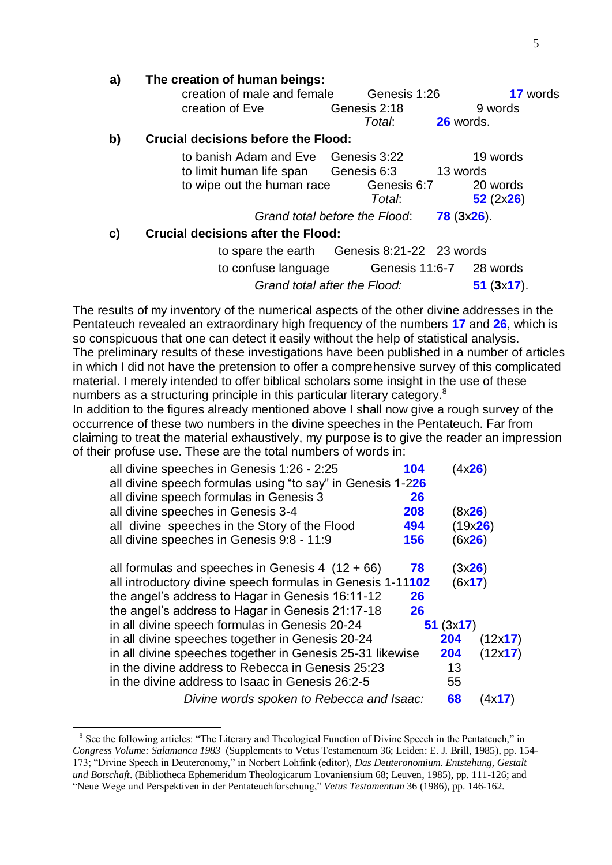| a) | The creation of human beings:                                                                                |  |
|----|--------------------------------------------------------------------------------------------------------------|--|
|    | creation of male and female<br>Genesis 1:26<br><b>17</b> words<br>creation of Eve<br>Genesis 2:18<br>9 words |  |
|    | 26 words.<br>Total:                                                                                          |  |
| b) | <b>Crucial decisions before the Flood:</b>                                                                   |  |
|    | to banish Adam and Eve Genesis 3:22<br>19 words                                                              |  |
|    | to limit human life span Genesis 6:3<br>13 words                                                             |  |
|    | to wipe out the human race<br>Genesis 6:7<br>20 words                                                        |  |
|    | 52(2x26)<br>Total:                                                                                           |  |
|    | Grand total before the Flood:<br>$78(3x26)$ .                                                                |  |
| C) | <b>Crucial decisions after the Flood:</b>                                                                    |  |
|    | to spare the earth Genesis 8:21-22 23 words                                                                  |  |
|    | to confuse language Genesis 11:6-7 28 words                                                                  |  |
|    | Grand total after the Flood:<br>$51$ (3x17).                                                                 |  |

The results of my inventory of the numerical aspects of the other divine addresses in the Pentateuch revealed an extraordinary high frequency of the numbers **17** and **26**, which is so conspicuous that one can detect it easily without the help of statistical analysis. The preliminary results of these investigations have been published in a number of articles in which I did not have the pretension to offer a comprehensive survey of this complicated material. I merely intended to offer biblical scholars some insight in the use of these numbers as a structuring principle in this particular literary category.<sup>8</sup>

In addition to the figures already mentioned above I shall now give a rough survey of the occurrence of these two numbers in the divine speeches in the Pentateuch. Far from claiming to treat the material exhaustively, my purpose is to give the reader an impression of their profuse use. These are the total numbers of words in:

| all divine speeches in Genesis 1:26 - 2:25                 | 104 | (4x26)   |                 |
|------------------------------------------------------------|-----|----------|-----------------|
| all divine speech formulas using "to say" in Genesis 1-226 |     |          |                 |
| all divine speech formulas in Genesis 3                    | 26  |          |                 |
| all divine speeches in Genesis 3-4                         | 208 | (8x26)   |                 |
| all divine speeches in the Story of the Flood              | 494 |          | (19x26)         |
| all divine speeches in Genesis 9:8 - 11:9                  | 156 |          | (6x26)          |
| all formulas and speeches in Genesis 4 $(12 + 66)$         | 78  | (3x26)   |                 |
| all introductory divine speech formulas in Genesis 1-11102 |     | (6x17)   |                 |
| the angel's address to Hagar in Genesis 16:11-12           | 26  |          |                 |
| the angel's address to Hagar in Genesis 21:17-18           | 26  |          |                 |
| in all divine speech formulas in Genesis 20-24             |     | 51(3x17) |                 |
| in all divine speeches together in Genesis 20-24           |     | 204      | (12x17)         |
| in all divine speeches together in Genesis 25-31 likewise  |     | 204      | (12x17)         |
| in the divine address to Rebecca in Genesis 25:23          |     | 13       |                 |
| in the divine address to Isaac in Genesis 26:2-5           |     | 55       |                 |
| Divine words spoken to Rebecca and Isaac:                  |     | 68       | (4x <b>17</b> ) |

<sup>&</sup>lt;sup>8</sup> See the following articles: "The Literary and Theological Function of Divine Speech in the Pentateuch," in *Congress Volume: Salamanca 1983* (Supplements to Vetus Testamentum 36; Leiden: E. J. Brill, 1985), pp. 154- 173; "Divine Speech in Deuteronomy," in Norbert Lohfink (editor), *Das Deuteronomium. Entstehung, Gestalt und Botschaft*. (Bibliotheca Ephemeridum Theologicarum Lovaniensium 68; Leuven, 1985), pp. 111-126; and "Neue Wege und Perspektiven in der Pentateuchforschung," *Vetus Testamentum* 36 (1986), pp. 146-162.

1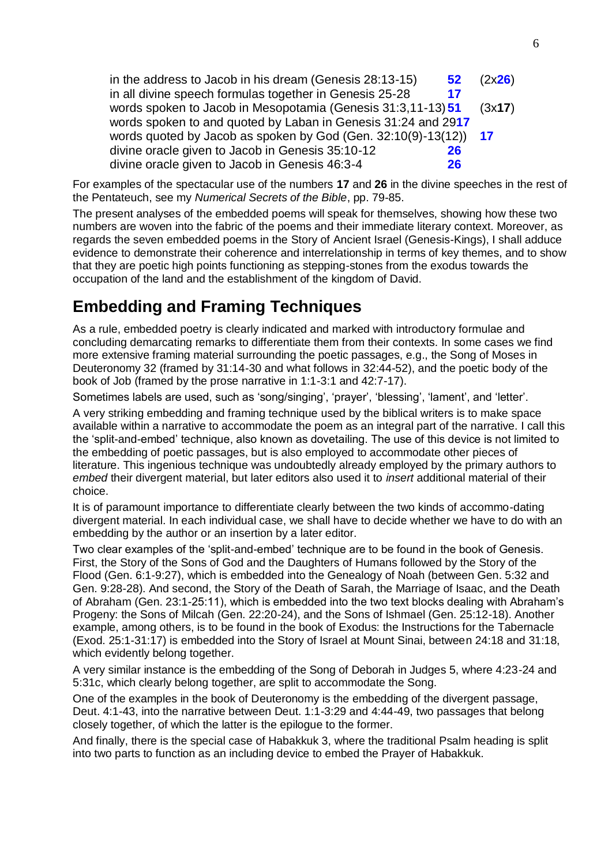| in the address to Jacob in his dream (Genesis 28:13-15)<br>52 <sub>2</sub> | (2x26) |
|----------------------------------------------------------------------------|--------|
| in all divine speech formulas together in Genesis 25-28<br>17              |        |
| words spoken to Jacob in Mesopotamia (Genesis 31:3,11-13) 51               | (3x17) |
| words spoken to and quoted by Laban in Genesis 31:24 and 2917              |        |
| words quoted by Jacob as spoken by God (Gen. $32:10(9)-13(12)$ ) 17        |        |
| divine oracle given to Jacob in Genesis 35:10-12<br>26                     |        |
| divine oracle given to Jacob in Genesis 46:3-4<br>26                       |        |

For examples of the spectacular use of the numbers **17** and **26** in the divine speeches in the rest of the Pentateuch, see my *Numerical Secrets of the Bible*, pp. 79-85.

The present analyses of the embedded poems will speak for themselves, showing how these two numbers are woven into the fabric of the poems and their immediate literary context. Moreover, as regards the seven embedded poems in the Story of Ancient Israel (Genesis-Kings), I shall adduce evidence to demonstrate their coherence and interrelationship in terms of key themes, and to show that they are poetic high points functioning as stepping-stones from the exodus towards the occupation of the land and the establishment of the kingdom of David.

### **Embedding and Framing Techniques**

As a rule, embedded poetry is clearly indicated and marked with introductory formulae and concluding demarcating remarks to differentiate them from their contexts. In some cases we find more extensive framing material surrounding the poetic passages, e.g., the Song of Moses in Deuteronomy 32 (framed by 31:14-30 and what follows in 32:44-52), and the poetic body of the book of Job (framed by the prose narrative in 1:1-3:1 and 42:7-17).

Sometimes labels are used, such as 'song/singing', 'prayer', 'blessing', 'lament', and 'letter'.

A very striking embedding and framing technique used by the biblical writers is to make space available within a narrative to accommodate the poem as an integral part of the narrative. I call this the 'split-and-embed' technique, also known as dovetailing. The use of this device is not limited to the embedding of poetic passages, but is also employed to accommodate other pieces of literature. This ingenious technique was undoubtedly already employed by the primary authors to *embed* their divergent material, but later editors also used it to *insert* additional material of their choice.

It is of paramount importance to differentiate clearly between the two kinds of accommo-dating divergent material. In each individual case, we shall have to decide whether we have to do with an embedding by the author or an insertion by a later editor.

Two clear examples of the 'split-and-embed' technique are to be found in the book of Genesis. First, the Story of the Sons of God and the Daughters of Humans followed by the Story of the Flood (Gen. 6:1-9:27), which is embedded into the Genealogy of Noah (between Gen. 5:32 and Gen. 9:28-28). And second, the Story of the Death of Sarah, the Marriage of Isaac, and the Death of Abraham (Gen. 23:1-25:11), which is embedded into the two text blocks dealing with Abraham's Progeny: the Sons of Milcah (Gen. 22:20-24), and the Sons of Ishmael (Gen. 25:12-18). Another example, among others, is to be found in the book of Exodus: the Instructions for the Tabernacle (Exod. 25:1-31:17) is embedded into the Story of Israel at Mount Sinai, between 24:18 and 31:18, which evidently belong together.

A very similar instance is the embedding of the Song of Deborah in Judges 5, where 4:23-24 and 5:31c, which clearly belong together, are split to accommodate the Song.

One of the examples in the book of Deuteronomy is the embedding of the divergent passage, Deut. 4:1-43, into the narrative between Deut. 1:1-3:29 and 4:44-49, two passages that belong closely together, of which the latter is the epilogue to the former.

And finally, there is the special case of Habakkuk 3, where the traditional Psalm heading is split into two parts to function as an including device to embed the Prayer of Habakkuk.